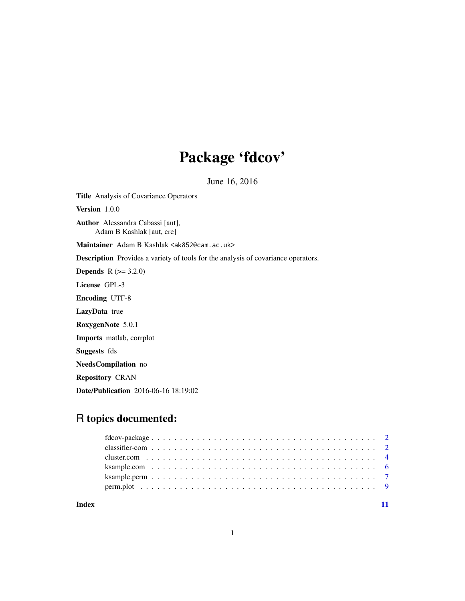## Package 'fdcov'

June 16, 2016

Title Analysis of Covariance Operators

Version 1.0.0

Author Alessandra Cabassi [aut], Adam B Kashlak [aut, cre]

Maintainer Adam B Kashlak <ak852@cam.ac.uk>

Description Provides a variety of tools for the analysis of covariance operators.

**Depends** R  $(>= 3.2.0)$ 

License GPL-3

Encoding UTF-8

LazyData true

RoxygenNote 5.0.1

Imports matlab, corrplot

Suggests fds

NeedsCompilation no

Repository CRAN

Date/Publication 2016-06-16 18:19:02

### R topics documented:

#### **Index** [11](#page-10-0)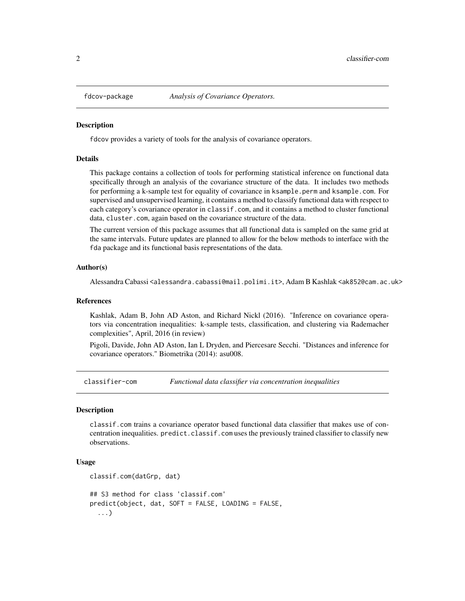<span id="page-1-0"></span>

fdcov provides a variety of tools for the analysis of covariance operators.

#### Details

This package contains a collection of tools for performing statistical inference on functional data specifically through an analysis of the covariance structure of the data. It includes two methods for performing a k-sample test for equality of covariance in ksample.perm and ksample.com. For supervised and unsupervised learning, it contains a method to classify functional data with respect to each category's covariance operator in classif.com, and it contains a method to cluster functional data, cluster.com, again based on the covariance structure of the data.

The current version of this package assumes that all functional data is sampled on the same grid at the same intervals. Future updates are planned to allow for the below methods to interface with the fda package and its functional basis representations of the data.

#### Author(s)

Alessandra Cabassi <alessandra.cabassi@mail.polimi.it>, Adam B Kashlak <ak852@cam.ac.uk>

#### References

Kashlak, Adam B, John AD Aston, and Richard Nickl (2016). "Inference on covariance operators via concentration inequalities: k-sample tests, classification, and clustering via Rademacher complexities", April, 2016 (in review)

Pigoli, Davide, John AD Aston, Ian L Dryden, and Piercesare Secchi. "Distances and inference for covariance operators." Biometrika (2014): asu008.

classifier-com *Functional data classifier via concentration inequalities*

#### **Description**

classif.com trains a covariance operator based functional data classifier that makes use of concentration inequalities. predict.classif.com uses the previously trained classifier to classify new observations.

#### Usage

```
classif.com(datGrp, dat)
## S3 method for class 'classif.com'
predict(object, dat, SOFT = FALSE, LOADING = FALSE,
  ...)
```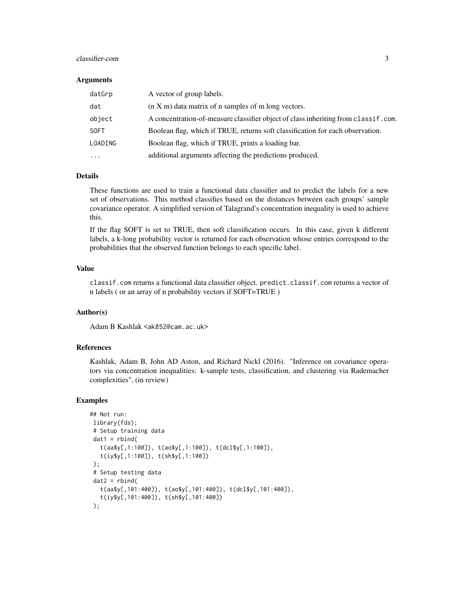#### classifier-com 3

#### **Arguments**

| datGrp              | A vector of group labels.                                                            |
|---------------------|--------------------------------------------------------------------------------------|
| dat                 | $(n X m)$ data matrix of n samples of m long vectors.                                |
| object              | A concentration-of-measure classifier object of class inheriting from class if. com. |
| <b>SOFT</b>         | Boolean flag, which if TRUE, returns soft classification for each observation.       |
| LOADING             | Boolean flag, which if TRUE, prints a loading bar.                                   |
| $\cdot \cdot \cdot$ | additional arguments affecting the predictions produced.                             |

#### Details

These functions are used to train a functional data classifier and to predict the labels for a new set of observations. This method classifies based on the distances between each groups' sample covariance operator. A simplified version of Talagrand's concentration inequality is used to achieve this.

If the flag SOFT is set to TRUE, then soft classification occurs. In this case, given k different labels, a k-long probability vector is returned for each observation whose entries correspond to the probabilities that the observed function belongs to each specific label.

#### Value

classif.com returns a functional data classifier object. predict.classif.com returns a vector of n labels ( or an array of n probability vectors if SOFT=TRUE )

#### Author(s)

Adam B Kashlak <ak852@cam.ac.uk>

#### References

Kashlak, Adam B, John AD Aston, and Richard Nickl (2016). "Inference on covariance operators via concentration inequalities: k-sample tests, classification, and clustering via Rademacher complexities", (in review)

#### Examples

```
## Not run:
library(fds);
# Setup training data
dat1 = rbind(t(aa$y[,1:100]), t(ao$y[,1:100]), t(dcl$y[,1:100]),
   t(iy$y[,1:100]), t(sh$y[,1:100])
);
 # Setup testing data
dat2 = rbind(t(aa$y[,101:400]), t(ao$y[,101:400]), t(dcl$y[,101:400]),
   t(iy$y[,101:400]), t(sh$y[,101:400])
);
```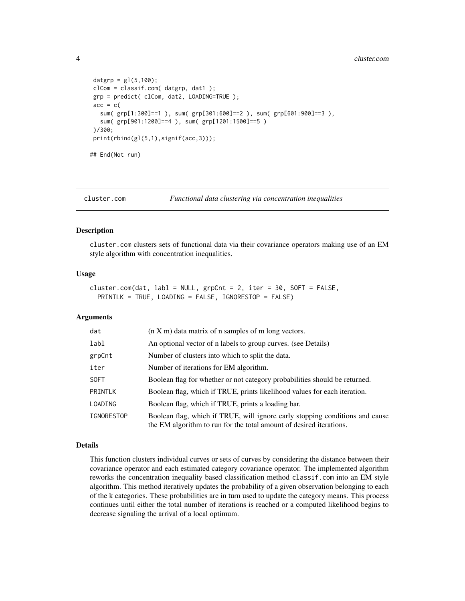```
datgrp = gl(5,100);clCom = classif.com( datgrp, dat1 );
grp = predict( clCom, dat2, LOADING=TRUE );
acc = c(sum( grp[1:300]==1 ), sum( grp[301:600]==2 ), sum( grp[601:900]==3 ),
  sum( grp[901:1200]==4 ), sum( grp[1201:1500]==5 )
)/300;
print(rbind(gl(5,1),signif(acc,3)));
## End(Not run)
```

```
cluster.com Functional data clustering via concentration inequalities
```
cluster.com clusters sets of functional data via their covariance operators making use of an EM style algorithm with concentration inequalities.

#### Usage

```
cluster.com(dat, labl = NULL, grpCnt = 2, iter = 30, SOFT = FALSE,
 PRINTLK = TRUE, LOADING = FALSE, IGNORESTOP = FALSE)
```
#### Arguments

| dat               | $(n X m)$ data matrix of n samples of m long vectors.                                                                                               |
|-------------------|-----------------------------------------------------------------------------------------------------------------------------------------------------|
| labl              | An optional vector of n labels to group curves. (see Details)                                                                                       |
| grpCnt            | Number of clusters into which to split the data.                                                                                                    |
| iter              | Number of iterations for EM algorithm.                                                                                                              |
| <b>SOFT</b>       | Boolean flag for whether or not category probabilities should be returned.                                                                          |
| PRINTLK           | Boolean flag, which if TRUE, prints likelihood values for each iteration.                                                                           |
| LOADING           | Boolean flag, which if TRUE, prints a loading bar.                                                                                                  |
| <b>IGNORESTOP</b> | Boolean flag, which if TRUE, will ignore early stopping conditions and cause<br>the EM algorithm to run for the total amount of desired iterations. |

#### Details

This function clusters individual curves or sets of curves by considering the distance between their covariance operator and each estimated category covariance operator. The implemented algorithm reworks the concentration inequality based classification method classif.com into an EM style algorithm. This method iteratively updates the probability of a given observation belonging to each of the k categories. These probabilities are in turn used to update the category means. This process continues until either the total number of iterations is reached or a computed likelihood begins to decrease signaling the arrival of a local optimum.

<span id="page-3-0"></span>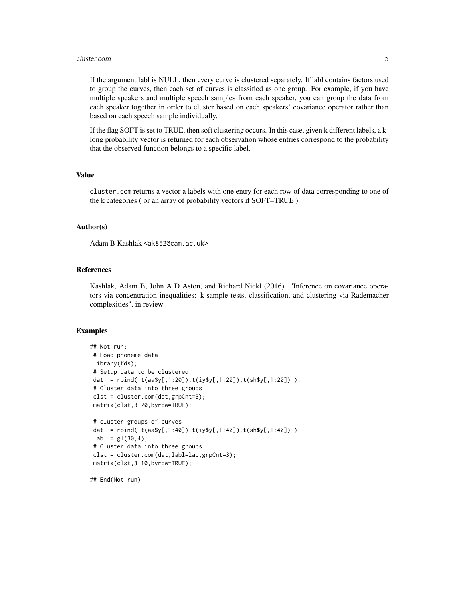#### cluster.com 5

If the argument labl is NULL, then every curve is clustered separately. If labl contains factors used to group the curves, then each set of curves is classified as one group. For example, if you have multiple speakers and multiple speech samples from each speaker, you can group the data from each speaker together in order to cluster based on each speakers' covariance operator rather than based on each speech sample individually.

If the flag SOFT is set to TRUE, then soft clustering occurs. In this case, given k different labels, a klong probability vector is returned for each observation whose entries correspond to the probability that the observed function belongs to a specific label.

#### Value

cluster.com returns a vector a labels with one entry for each row of data corresponding to one of the k categories ( or an array of probability vectors if SOFT=TRUE ).

#### Author(s)

Adam B Kashlak <ak852@cam.ac.uk>

#### **References**

Kashlak, Adam B, John A D Aston, and Richard Nickl (2016). "Inference on covariance operators via concentration inequalities: k-sample tests, classification, and clustering via Rademacher complexities", in review

#### Examples

```
## Not run:
# Load phoneme data
library(fds);
 # Setup data to be clustered
dat = rbind( t(aa$y[,1:20]),t(iy$y[,1:20]),t(sh$y[,1:20]) );
 # Cluster data into three groups
 clst = cluster.com(dat,grpCnt=3);
matrix(clst,3,20,byrow=TRUE);
 # cluster groups of curves
dat = rbind( t(aa$y[,1:40]),t(iy$y[,1:40]),t(sh$y[,1:40]) );
lab = gl(30, 4);# Cluster data into three groups
clst = cluster.com(dat,labl=lab,grpCnt=3);
matrix(clst,3,10,byrow=TRUE);
```
## End(Not run)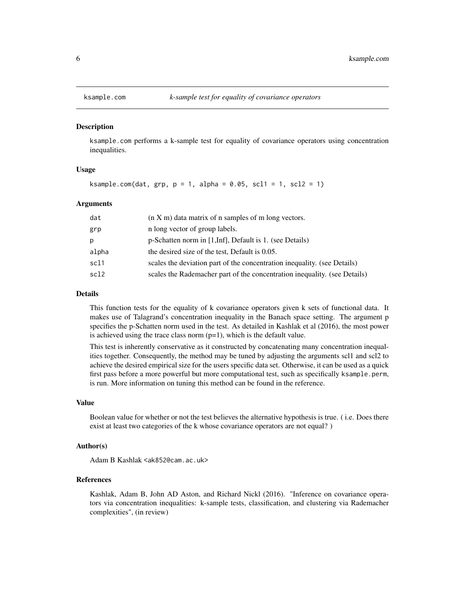<span id="page-5-0"></span>

ksample.com performs a k-sample test for equality of covariance operators using concentration inequalities.

#### Usage

```
ksample.com(data, grp, p = 1, alpha = 0.05, scl1 = 1, scl2 = 1)
```
#### Arguments

| dat   | $(n X m)$ data matrix of n samples of m long vectors.                     |
|-------|---------------------------------------------------------------------------|
| grp   | n long vector of group labels.                                            |
| р     | p-Schatten norm in [1, Inf], Default is 1. (see Details)                  |
| alpha | the desired size of the test, Default is 0.05.                            |
| scl1  | scales the deviation part of the concentration inequality. (see Details)  |
| scl2  | scales the Rademacher part of the concentration inequality. (see Details) |

#### Details

This function tests for the equality of k covariance operators given k sets of functional data. It makes use of Talagrand's concentration inequality in the Banach space setting. The argument p specifies the p-Schatten norm used in the test. As detailed in Kashlak et al (2016), the most power is achieved using the trace class norm  $(p=1)$ , which is the default value.

This test is inherently conservative as it constructed by concatenating many concentration inequalities together. Consequently, the method may be tuned by adjusting the arguments scl1 and scl2 to achieve the desired empirical size for the users specific data set. Otherwise, it can be used as a quick first pass before a more powerful but more computational test, such as specifically ksample.perm, is run. More information on tuning this method can be found in the reference.

#### Value

Boolean value for whether or not the test believes the alternative hypothesis is true. ( i.e. Does there exist at least two categories of the k whose covariance operators are not equal? )

#### Author(s)

Adam B Kashlak <ak852@cam.ac.uk>

#### References

Kashlak, Adam B, John AD Aston, and Richard Nickl (2016). "Inference on covariance operators via concentration inequalities: k-sample tests, classification, and clustering via Rademacher complexities", (in review)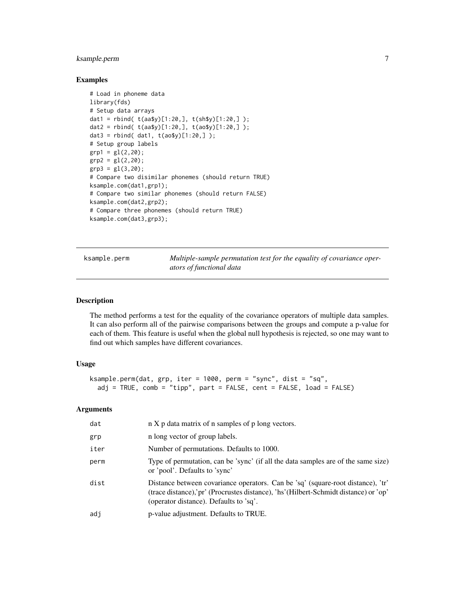#### <span id="page-6-0"></span>ksample.perm 7

#### Examples

```
# Load in phoneme data
library(fds)
# Setup data arrays
dat1 = rbind( t(aa$y)[1:20,], t(sh$y)[1:20,] );
dat2 = rbind( t(aa$y)[1:20,], t(ao$y)[1:20,] );
data = rbind( dat1, t(aosy)[1:20,]);
# Setup group labels
grp1 = gl(2, 20);grp2 = gl(2, 20);grp3 = g1(3, 20);
# Compare two disimilar phonemes (should return TRUE)
ksample.com(dat1,grp1);
# Compare two similar phonemes (should return FALSE)
ksample.com(dat2,grp2);
# Compare three phonemes (should return TRUE)
ksample.com(dat3,grp3);
```
ksample.perm *Multiple-sample permutation test for the equality of covariance operators of functional data*

#### Description

The method performs a test for the equality of the covariance operators of multiple data samples. It can also perform all of the pairwise comparisons between the groups and compute a p-value for each of them. This feature is useful when the global null hypothesis is rejected, so one may want to find out which samples have different covariances.

#### Usage

```
ksample.perm(dat, grp, iter = 1000, perm = "sync", dist = "sq",
 adj = TRUE, comb = "tipp", part = FALSE, cent = FALSE, load = FALSE)
```
#### Arguments

| dat  | n X p data matrix of n samples of p long vectors.                                                                                                                                                                 |
|------|-------------------------------------------------------------------------------------------------------------------------------------------------------------------------------------------------------------------|
| grp  | n long vector of group labels.                                                                                                                                                                                    |
| iter | Number of permutations. Defaults to 1000.                                                                                                                                                                         |
| perm | Type of permutation, can be 'sync' (if all the data samples are of the same size)<br>or 'pool'. Defaults to 'sync'                                                                                                |
| dist | Distance between covariance operators. Can be 'sq' (square-root distance), 'tr'<br>(trace distance), pr' (Procrustes distance), 'hs' (Hilbert-Schmidt distance) or 'op'<br>(operator distance). Defaults to 'sq'. |
| adj  | p-value adjustment. Defaults to TRUE.                                                                                                                                                                             |
|      |                                                                                                                                                                                                                   |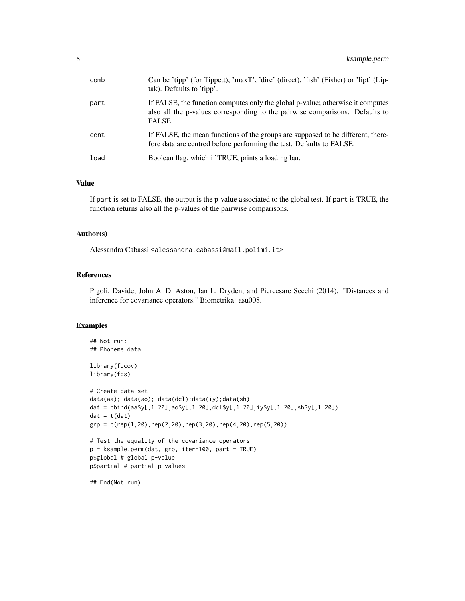| comb | Can be 'tipp' (for Tippett), 'maxT', 'dire' (direct), 'fish' (Fisher) or 'lipt' (Lip-<br>tak). Defaults to 'tipp'.                                                       |
|------|--------------------------------------------------------------------------------------------------------------------------------------------------------------------------|
| part | If FALSE, the function computes only the global p-value; otherwise it computes<br>also all the p-values corresponding to the pairwise comparisons. Defaults to<br>FALSE. |
| cent | If FALSE, the mean functions of the groups are supposed to be different, there-<br>fore data are centred before performing the test. Defaults to FALSE.                  |
| load | Boolean flag, which if TRUE, prints a loading bar.                                                                                                                       |

#### Value

If part is set to FALSE, the output is the p-value associated to the global test. If part is TRUE, the function returns also all the p-values of the pairwise comparisons.

#### Author(s)

Alessandra Cabassi <alessandra.cabassi@mail.polimi.it>

#### References

Pigoli, Davide, John A. D. Aston, Ian L. Dryden, and Piercesare Secchi (2014). "Distances and inference for covariance operators." Biometrika: asu008.

#### Examples

```
## Not run:
## Phoneme data
library(fdcov)
library(fds)
# Create data set
data(aa); data(ao); data(dcl);data(iy);data(sh)
dat = cbind(aa$y[,1:20],ao$y[,1:20],dcl$y[,1:20],iy$y[,1:20],sh$y[,1:20])
dat = t(data)grp = c(rep(1,20),rep(2,20),rep(3,20),rep(4,20),rep(5,20))# Test the equality of the covariance operators
p = ksample.perm(dat, grp, iter=100, part = TRUE)
p$global # global p-value
p$partial # partial p-values
```
## End(Not run)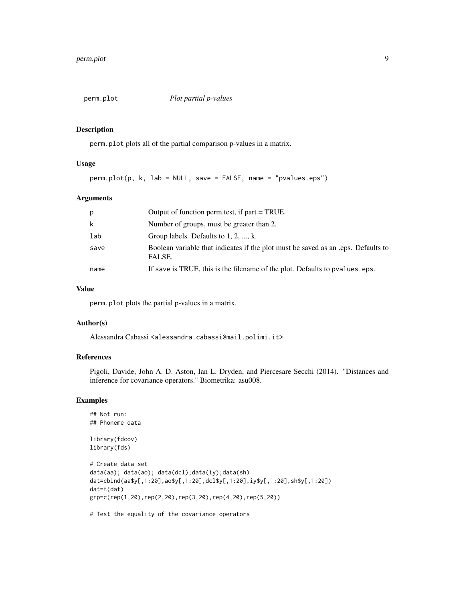<span id="page-8-0"></span>

perm.plot plots all of the partial comparison p-values in a matrix.

#### Usage

perm.plot(p, k, lab = NULL, save = FALSE, name = "pvalues.eps")

#### Arguments

| p    | Output of function perm.test, if part = TRUE.                                              |
|------|--------------------------------------------------------------------------------------------|
| k    | Number of groups, must be greater than 2.                                                  |
| lab  | Group labels. Defaults to 1, 2, , k.                                                       |
| save | Boolean variable that indicates if the plot must be saved as an eps. Defaults to<br>FALSE. |
| name | If save is TRUE, this is the filename of the plot. Defaults to pvalues eps.                |

#### Value

perm.plot plots the partial p-values in a matrix.

#### Author(s)

Alessandra Cabassi <alessandra.cabassi@mail.polimi.it>

#### References

Pigoli, Davide, John A. D. Aston, Ian L. Dryden, and Piercesare Secchi (2014). "Distances and inference for covariance operators." Biometrika: asu008.

#### Examples

```
## Not run:
## Phoneme data
library(fdcov)
library(fds)
# Create data set
data(aa); data(ao); data(dcl);data(iy);data(sh)
dat=cbind(aa$y[,1:20],ao$y[,1:20],dcl$y[,1:20],iy$y[,1:20],sh$y[,1:20])
dat=t(dat)
grp=c(rep(1,20),rep(2,20),rep(3,20),rep(4,20),rep(5,20))
```
# Test the equality of the covariance operators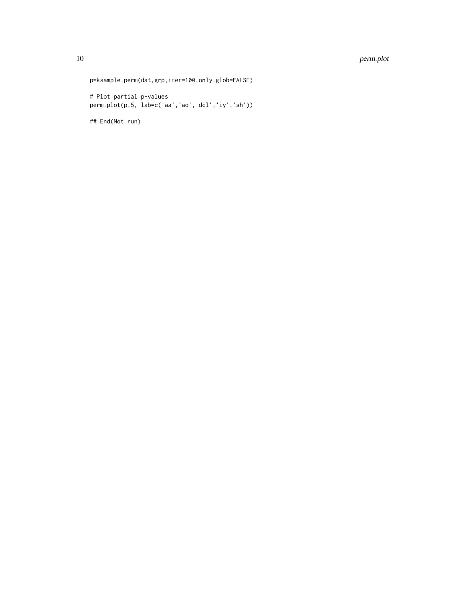#### 10 perm.plot

p=ksample.perm(dat,grp,iter=100,only.glob=FALSE)

# Plot partial p-values perm.plot(p,5, lab=c('aa','ao','dcl','iy','sh'))

## End(Not run)